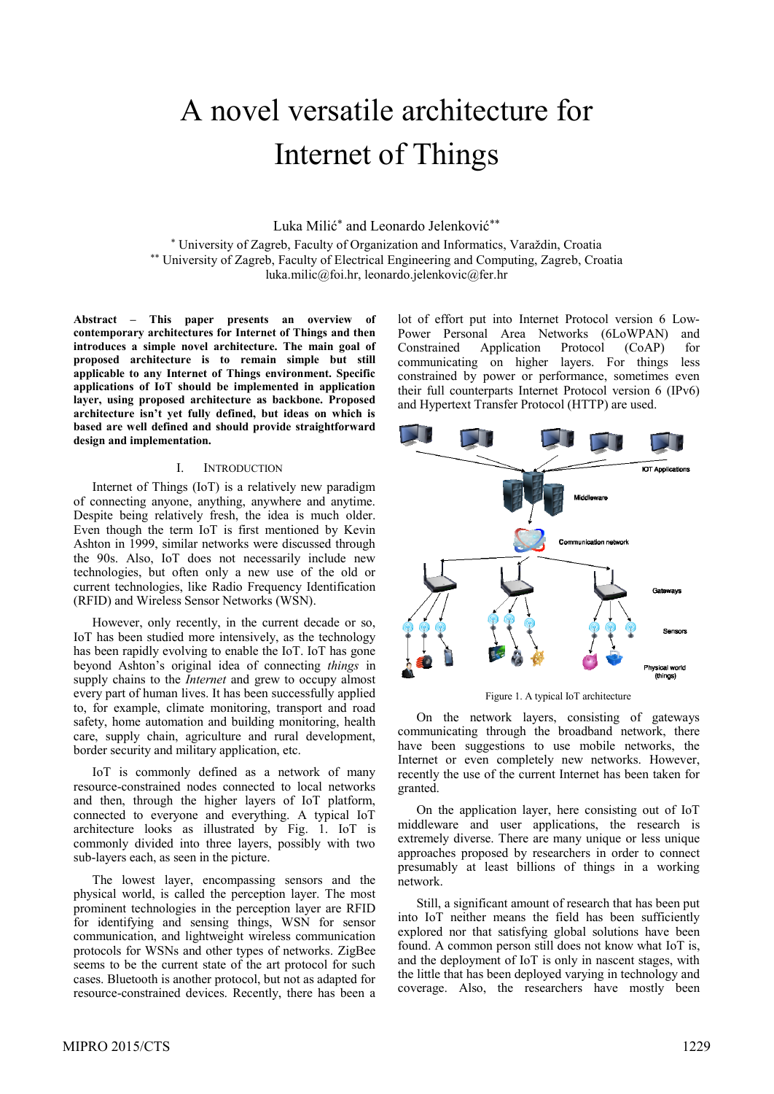# A novel versatile architecture for Internet of Things

Luka Milić\* and Leonardo Jelenković\*\*

\* University of Zagreb, Faculty of Organization and Informatics, Varaždin, Croatia \*\* University of Zagreb, Faculty of Electrical Engineering and Computing, Zagreb, Croatia luka.milic@foi.hr, leonardo.jelenkovic@fer.hr

**Abstract – This paper presents an overview of contemporary architectures for Internet of Things and then introduces a simple novel architecture. The main goal of proposed architecture is to remain simple but still applicable to any Internet of Things environment. Specific applications of IoT should be implemented in application layer, using proposed architecture as backbone. Proposed architecture isn't yet fully defined, but ideas on which is based are well defined and should provide straightforward design and implementation.** 

## I. INTRODUCTION

Internet of Things (IoT) is a relatively new paradigm of connecting anyone, anything, anywhere and anytime. Despite being relatively fresh, the idea is much older. Even though the term IoT is first mentioned by Kevin Ashton in 1999, similar networks were discussed through the 90s. Also, IoT does not necessarily include new technologies, but often only a new use of the old or current technologies, like Radio Frequency Identification (RFID) and Wireless Sensor Networks (WSN).

However, only recently, in the current decade or so, IoT has been studied more intensively, as the technology has been rapidly evolving to enable the IoT. IoT has gone beyond Ashton's original idea of connecting *things* in supply chains to the *Internet* and grew to occupy almost every part of human lives. It has been successfully applied to, for example, climate monitoring, transport and road safety, home automation and building monitoring, health care, supply chain, agriculture and rural development, border security and military application, etc.

IoT is commonly defined as a network of many resource-constrained nodes connected to local networks and then, through the higher layers of IoT platform, connected to everyone and everything. A typical IoT architecture looks as illustrated by Fig. 1. IoT is commonly divided into three layers, possibly with two sub-layers each, as seen in the picture.

The lowest layer, encompassing sensors and the physical world, is called the perception layer. The most prominent technologies in the perception layer are RFID for identifying and sensing things, WSN for sensor communication, and lightweight wireless communication protocols for WSNs and other types of networks. ZigBee seems to be the current state of the art protocol for such cases. Bluetooth is another protocol, but not as adapted for resource-constrained devices. Recently, there has been a lot of effort put into Internet Protocol version 6 Low-Power Personal Area Networks (6LoWPAN) and Constrained Application Protocol (CoAP) for communicating on higher layers. For things less constrained by power or performance, sometimes even their full counterparts Internet Protocol version 6 (IPv6) and Hypertext Transfer Protocol (HTTP) are used.



Figure 1. A typical IoT architecture

On the network layers, consisting of gateways communicating through the broadband network, there have been suggestions to use mobile networks, the Internet or even completely new networks. However, recently the use of the current Internet has been taken for granted.

On the application layer, here consisting out of IoT middleware and user applications, the research is extremely diverse. There are many unique or less unique approaches proposed by researchers in order to connect presumably at least billions of things in a working network.

Still, a significant amount of research that has been put into IoT neither means the field has been sufficiently explored nor that satisfying global solutions have been found. A common person still does not know what IoT is, and the deployment of IoT is only in nascent stages, with the little that has been deployed varying in technology and coverage. Also, the researchers have mostly been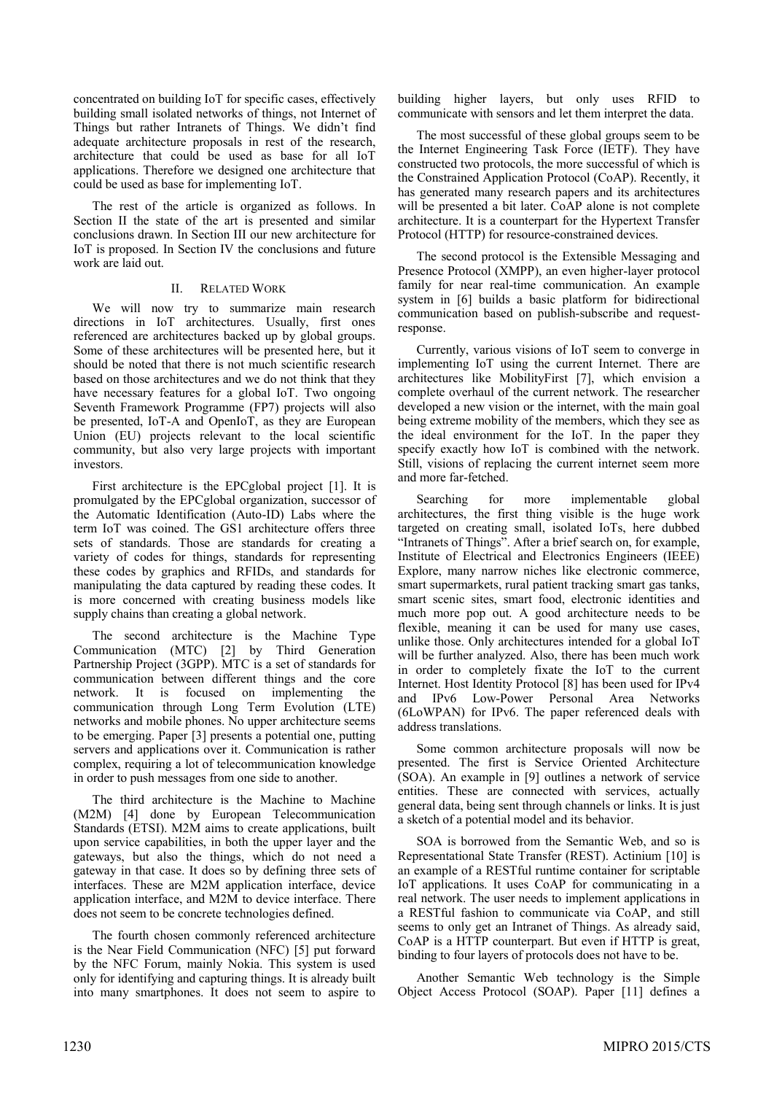concentrated on building IoT for specific cases, effectively building small isolated networks of things, not Internet of Things but rather Intranets of Things. We didn't find adequate architecture proposals in rest of the research, architecture that could be used as base for all IoT applications. Therefore we designed one architecture that could be used as base for implementing IoT.

The rest of the article is organized as follows. In Section II the state of the art is presented and similar conclusions drawn. In Section III our new architecture for IoT is proposed. In Section IV the conclusions and future work are laid out.

# II. RELATED WORK

We will now try to summarize main research directions in IoT architectures. Usually, first ones referenced are architectures backed up by global groups. Some of these architectures will be presented here, but it should be noted that there is not much scientific research based on those architectures and we do not think that they have necessary features for a global IoT. Two ongoing Seventh Framework Programme (FP7) projects will also be presented, IoT-A and OpenIoT, as they are European Union (EU) projects relevant to the local scientific community, but also very large projects with important investors.

First architecture is the EPCglobal project [\[1\].](#page-4-0) It is promulgated by the EPCglobal organization, successor of the Automatic Identification (Auto-ID) Labs where the term IoT was coined. The GS1 architecture offers three sets of standards. Those are standards for creating a variety of codes for things, standards for representing these codes by graphics and RFIDs, and standards for manipulating the data captured by reading these codes. It is more concerned with creating business models like supply chains than creating a global network.

The second architecture is the Machine Type Communication (MTC) [\[2\]](#page-4-1) by Third Generation Partnership Project (3GPP). MTC is a set of standards for communication between different things and the core network. It is focused on implementing the communication through Long Term Evolution (LTE) networks and mobile phones. No upper architecture seems to be emerging. Paper [\[3\]](#page-4-2) presents a potential one, putting servers and applications over it. Communication is rather complex, requiring a lot of telecommunication knowledge in order to push messages from one side to another.

The third architecture is the Machine to Machine (M2M) [\[4\]](#page-4-3) done by European Telecommunication Standards (ETSI). M2M aims to create applications, built upon service capabilities, in both the upper layer and the gateways, but also the things, which do not need a gateway in that case. It does so by defining three sets of interfaces. These are M2M application interface, device application interface, and M2M to device interface. There does not seem to be concrete technologies defined.

The fourth chosen commonly referenced architecture is the Near Field Communication (NFC) [\[5\]](#page-5-0) put forward by the NFC Forum, mainly Nokia. This system is used only for identifying and capturing things. It is already built into many smartphones. It does not seem to aspire to building higher layers, but only uses RFID to communicate with sensors and let them interpret the data.

The most successful of these global groups seem to be the Internet Engineering Task Force (IETF). They have constructed two protocols, the more successful of which is the Constrained Application Protocol (CoAP). Recently, it has generated many research papers and its architectures will be presented a bit later. CoAP alone is not complete architecture. It is a counterpart for the Hypertext Transfer Protocol (HTTP) for resource-constrained devices.

The second protocol is the Extensible Messaging and Presence Protocol (XMPP), an even higher-layer protocol family for near real-time communication. An example system in [\[6\]](#page-5-1) builds a basic platform for bidirectional communication based on publish-subscribe and requestresponse.

Currently, various visions of IoT seem to converge in implementing IoT using the current Internet. There are architectures like MobilityFirst [\[7\],](#page-5-2) which envision a complete overhaul of the current network. The researcher developed a new vision or the internet, with the main goal being extreme mobility of the members, which they see as the ideal environment for the IoT. In the paper they specify exactly how IoT is combined with the network. Still, visions of replacing the current internet seem more and more far-fetched.

Searching for more implementable global architectures, the first thing visible is the huge work targeted on creating small, isolated IoTs, here dubbed "Intranets of Things". After a brief search on, for example, Institute of Electrical and Electronics Engineers (IEEE) Explore, many narrow niches like electronic commerce, smart supermarkets, rural patient tracking smart gas tanks, smart scenic sites, smart food, electronic identities and much more pop out. A good architecture needs to be flexible, meaning it can be used for many use cases, unlike those. Only architectures intended for a global IoT will be further analyzed. Also, there has been much work in order to completely fixate the IoT to the current Internet. Host Identity Protocol [\[8\]](#page-5-3) has been used for IPv4 and IPv6 Low-Power Personal Area Networks (6LoWPAN) for IPv6. The paper referenced deals with address translations.

Some common architecture proposals will now be presented. The first is Service Oriented Architecture (SOA). An example in [\[9\]](#page-5-4) outlines a network of service entities. These are connected with services, actually general data, being sent through channels or links. It is just a sketch of a potential model and its behavior.

SOA is borrowed from the Semantic Web, and so is Representational State Transfer (REST). Actinium [\[10\]](#page-5-5) is an example of a RESTful runtime container for scriptable IoT applications. It uses CoAP for communicating in a real network. The user needs to implement applications in a RESTful fashion to communicate via CoAP, and still seems to only get an Intranet of Things. As already said, CoAP is a HTTP counterpart. But even if HTTP is great, binding to four layers of protocols does not have to be.

Another Semantic Web technology is the Simple Object Access Protocol (SOAP). Paper [\[11\]](#page-5-6) defines a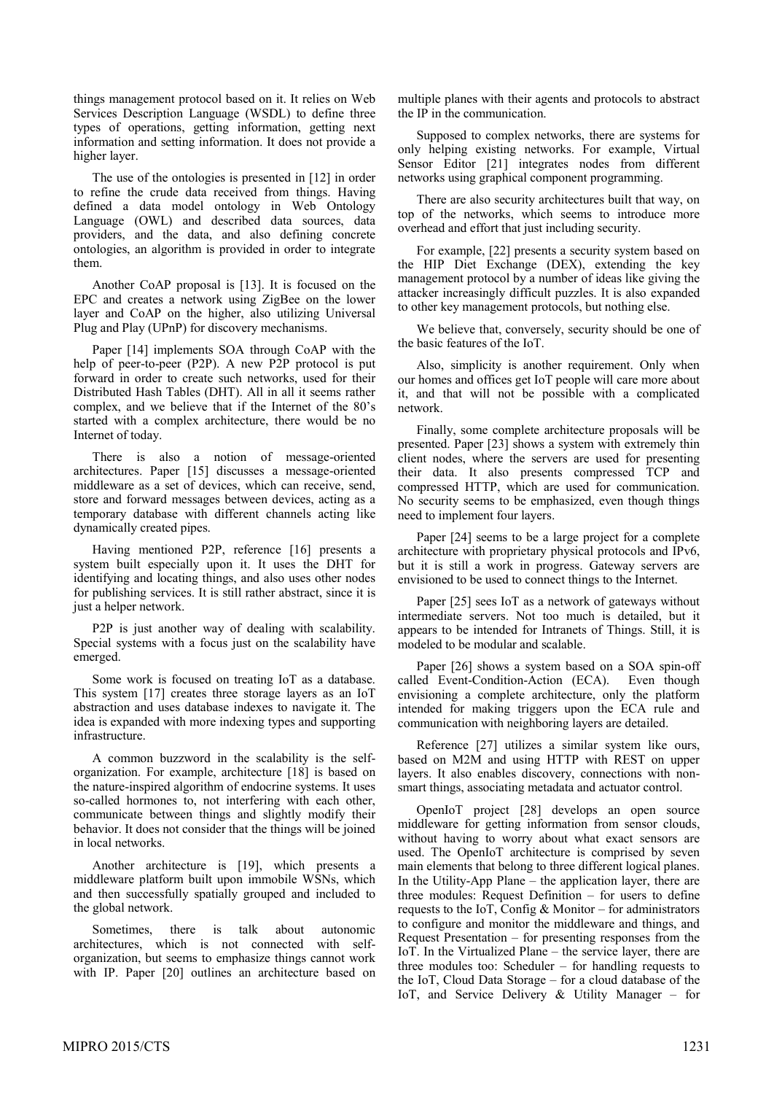things management protocol based on it. It relies on Web Services Description Language (WSDL) to define three types of operations, getting information, getting next information and setting information. It does not provide a higher layer.

The use of the ontologies is presented in [\[12\]](#page-5-7) in order to refine the crude data received from things. Having defined a data model ontology in Web Ontology Language (OWL) and described data sources, data providers, and the data, and also defining concrete ontologies, an algorithm is provided in order to integrate them.

Another CoAP proposal is [\[13\].](#page-5-8) It is focused on the EPC and creates a network using ZigBee on the lower layer and CoAP on the higher, also utilizing Universal Plug and Play (UPnP) for discovery mechanisms.

Paper [\[14\]](#page-5-9) implements SOA through CoAP with the help of peer-to-peer (P2P). A new P2P protocol is put forward in order to create such networks, used for their Distributed Hash Tables (DHT). All in all it seems rather complex, and we believe that if the Internet of the 80's started with a complex architecture, there would be no Internet of today.

There is also a notion of message-oriented architectures. Paper [\[15\]](#page-5-10) discusses a message-oriented middleware as a set of devices, which can receive, send, store and forward messages between devices, acting as a temporary database with different channels acting like dynamically created pipes.

Having mentioned P2P, reference [\[16\]](#page-5-11) presents a system built especially upon it. It uses the DHT for identifying and locating things, and also uses other nodes for publishing services. It is still rather abstract, since it is just a helper network.

P2P is just another way of dealing with scalability. Special systems with a focus just on the scalability have emerged.

Some work is focused on treating IoT as a database. This system [\[17\]](#page-5-12) creates three storage layers as an IoT abstraction and uses database indexes to navigate it. The idea is expanded with more indexing types and supporting infrastructure.

A common buzzword in the scalability is the selforganization. For example, architecture [\[18\]](#page-5-13) is based on the nature-inspired algorithm of endocrine systems. It uses so-called hormones to, not interfering with each other, communicate between things and slightly modify their behavior. It does not consider that the things will be joined in local networks.

Another architecture is [\[19\],](#page-5-14) which presents a middleware platform built upon immobile WSNs, which and then successfully spatially grouped and included to the global network.

Sometimes, there is talk about autonomic architectures, which is not connected with selforganization, but seems to emphasize things cannot work with IP. Paper [\[20\]](#page-5-15) outlines an architecture based on multiple planes with their agents and protocols to abstract the IP in the communication.

Supposed to complex networks, there are systems for only helping existing networks. For example, Virtual Sensor Editor [\[21\]](#page-5-16) integrates nodes from different networks using graphical component programming.

There are also security architectures built that way, on top of the networks, which seems to introduce more overhead and effort that just including security.

For example, [\[22\]](#page-5-17) presents a security system based on the HIP Diet Exchange (DEX), extending the key management protocol by a number of ideas like giving the attacker increasingly difficult puzzles. It is also expanded to other key management protocols, but nothing else.

We believe that, conversely, security should be one of the basic features of the IoT.

Also, simplicity is another requirement. Only when our homes and offices get IoT people will care more about it, and that will not be possible with a complicated network.

Finally, some complete architecture proposals will be presented. Paper [\[23\]](#page-5-18) shows a system with extremely thin client nodes, where the servers are used for presenting their data. It also presents compressed TCP and compressed HTTP, which are used for communication. No security seems to be emphasized, even though things need to implement four layers.

Paper [\[24\]](#page-5-19) seems to be a large project for a complete architecture with proprietary physical protocols and IPv6, but it is still a work in progress. Gateway servers are envisioned to be used to connect things to the Internet.

Paper [\[25\]](#page-5-20) sees IoT as a network of gateways without intermediate servers. Not too much is detailed, but it appears to be intended for Intranets of Things. Still, it is modeled to be modular and scalable.

Paper [\[26\]](#page-5-21) shows a system based on a SOA spin-off called Event-Condition-Action (ECA). Even though envisioning a complete architecture, only the platform intended for making triggers upon the ECA rule and communication with neighboring layers are detailed.

Reference [\[27\]](#page-5-22) utilizes a similar system like ours, based on M2M and using HTTP with REST on upper layers. It also enables discovery, connections with nonsmart things, associating metadata and actuator control.

OpenIoT project [\[28\]](#page-5-23) develops an open source middleware for getting information from sensor clouds, without having to worry about what exact sensors are used. The OpenIoT architecture is comprised by seven main elements that belong to three different logical planes. In the Utility-App Plane – the application layer, there are three modules: Request Definition – for users to define requests to the IoT, Config & Monitor – for administrators to configure and monitor the middleware and things, and Request Presentation – for presenting responses from the IoT. In the Virtualized Plane – the service layer, there are three modules too: Scheduler – for handling requests to the IoT, Cloud Data Storage – for a cloud database of the IoT, and Service Delivery & Utility Manager – for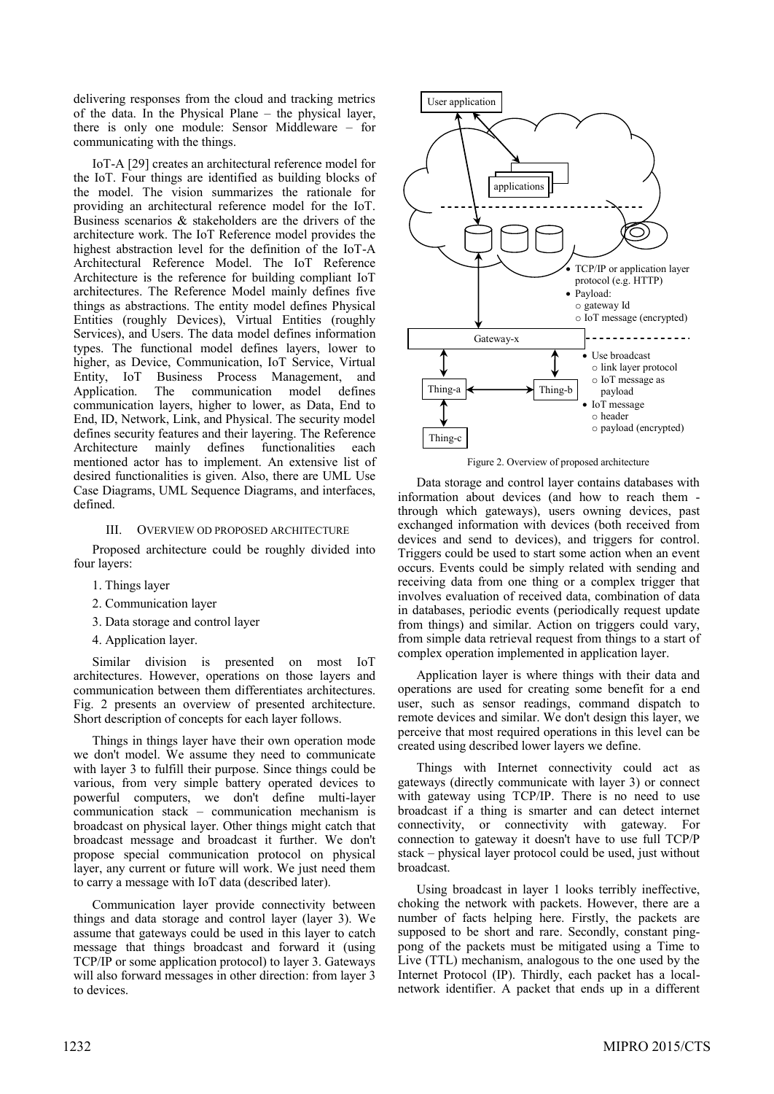delivering responses from the cloud and tracking metrics of the data. In the Physical Plane – the physical layer, there is only one module: Sensor Middleware – for communicating with the things.

IoT-A [\[29\]](#page-5-24) creates an architectural reference model for the IoT. Four things are identified as building blocks of the model. The vision summarizes the rationale for providing an architectural reference model for the IoT. Business scenarios & stakeholders are the drivers of the architecture work. The IoT Reference model provides the highest abstraction level for the definition of the IoT-A Architectural Reference Model. The IoT Reference Architecture is the reference for building compliant IoT architectures. The Reference Model mainly defines five things as abstractions. The entity model defines Physical Entities (roughly Devices), Virtual Entities (roughly Services), and Users. The data model defines information types. The functional model defines layers, lower to higher, as Device, Communication, IoT Service, Virtual Entity, IoT Business Process Management, and Application. The communication model defines communication layers, higher to lower, as Data, End to End, ID, Network, Link, and Physical. The security model defines security features and their layering. The Reference Architecture mainly defines functionalities each mentioned actor has to implement. An extensive list of desired functionalities is given. Also, there are UML Use Case Diagrams, UML Sequence Diagrams, and interfaces, defined.

# III. OVERVIEW OD PROPOSED ARCHITECTURE

Proposed architecture could be roughly divided into four layers:

- 1. Things layer
- 2. Communication layer
- 3. Data storage and control layer
- 4. Application layer.

Similar division is presented on most IoT architectures. However, operations on those layers and communication between them differentiates architectures. Fig. 2 presents an overview of presented architecture. Short description of concepts for each layer follows.

Things in things layer have their own operation mode we don't model. We assume they need to communicate with layer 3 to fulfill their purpose. Since things could be various, from very simple battery operated devices to powerful computers, we don't define multi-layer communication stack – communication mechanism is broadcast on physical layer. Other things might catch that broadcast message and broadcast it further. We don't propose special communication protocol on physical layer, any current or future will work. We just need them to carry a message with IoT data (described later).

Communication layer provide connectivity between things and data storage and control layer (layer 3). We assume that gateways could be used in this layer to catch message that things broadcast and forward it (using TCP/IP or some application protocol) to layer 3. Gateways will also forward messages in other direction: from layer 3 to devices.



Figure 2. Overview of proposed architecture

Data storage and control layer contains databases with information about devices (and how to reach them through which gateways), users owning devices, past exchanged information with devices (both received from devices and send to devices), and triggers for control. Triggers could be used to start some action when an event occurs. Events could be simply related with sending and receiving data from one thing or a complex trigger that involves evaluation of received data, combination of data in databases, periodic events (periodically request update from things) and similar. Action on triggers could vary, from simple data retrieval request from things to a start of complex operation implemented in application layer.

Application layer is where things with their data and operations are used for creating some benefit for a end user, such as sensor readings, command dispatch to remote devices and similar. We don't design this layer, we perceive that most required operations in this level can be created using described lower layers we define.

Things with Internet connectivity could act as gateways (directly communicate with layer 3) or connect with gateway using TCP/IP. There is no need to use broadcast if a thing is smarter and can detect internet connectivity, or connectivity with gateway. For connection to gateway it doesn't have to use full TCP/P stack – physical layer protocol could be used, just without broadcast.

Using broadcast in layer 1 looks terribly ineffective, choking the network with packets. However, there are a number of facts helping here. Firstly, the packets are supposed to be short and rare. Secondly, constant pingpong of the packets must be mitigated using a Time to Live (TTL) mechanism, analogous to the one used by the Internet Protocol (IP). Thirdly, each packet has a localnetwork identifier. A packet that ends up in a different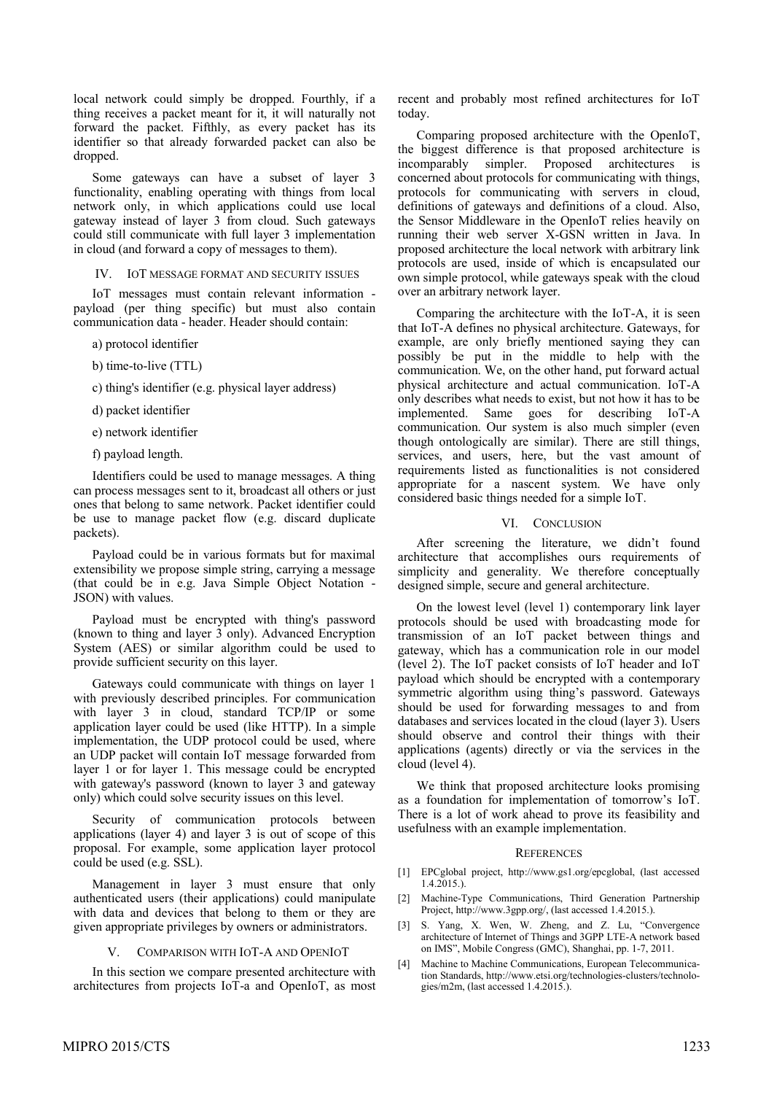local network could simply be dropped. Fourthly, if a thing receives a packet meant for it, it will naturally not forward the packet. Fifthly, as every packet has its identifier so that already forwarded packet can also be dropped.

Some gateways can have a subset of layer 3 functionality, enabling operating with things from local network only, in which applications could use local gateway instead of layer 3 from cloud. Such gateways could still communicate with full layer 3 implementation in cloud (and forward a copy of messages to them).

IV. IOT MESSAGE FORMAT AND SECURITY ISSUES

IoT messages must contain relevant information payload (per thing specific) but must also contain communication data - header. Header should contain:

a) protocol identifier

b) time-to-live (TTL)

c) thing's identifier (e.g. physical layer address)

d) packet identifier

e) network identifier

f) payload length.

Identifiers could be used to manage messages. A thing can process messages sent to it, broadcast all others or just ones that belong to same network. Packet identifier could be use to manage packet flow (e.g. discard duplicate packets).

Payload could be in various formats but for maximal extensibility we propose simple string, carrying a message (that could be in e.g. Java Simple Object Notation - JSON) with values.

Payload must be encrypted with thing's password (known to thing and layer 3 only). Advanced Encryption System (AES) or similar algorithm could be used to provide sufficient security on this layer.

Gateways could communicate with things on layer 1 with previously described principles. For communication with layer 3 in cloud, standard TCP/IP or some application layer could be used (like HTTP). In a simple implementation, the UDP protocol could be used, where an UDP packet will contain IoT message forwarded from layer 1 or for layer 1. This message could be encrypted with gateway's password (known to layer 3 and gateway only) which could solve security issues on this level.

Security of communication protocols between applications (layer 4) and layer 3 is out of scope of this proposal. For example, some application layer protocol could be used (e.g. SSL).

Management in layer 3 must ensure that only authenticated users (their applications) could manipulate with data and devices that belong to them or they are given appropriate privileges by owners or administrators.

#### V. COMPARISON WITH IOT-A AND OPENIOT

In this section we compare presented architecture with architectures from projects IoT-a and OpenIoT, as most recent and probably most refined architectures for IoT today.

Comparing proposed architecture with the OpenIoT, the biggest difference is that proposed architecture is incomparably simpler. Proposed architectures is concerned about protocols for communicating with things, protocols for communicating with servers in cloud, definitions of gateways and definitions of a cloud. Also, the Sensor Middleware in the OpenIoT relies heavily on running their web server X-GSN written in Java. In proposed architecture the local network with arbitrary link protocols are used, inside of which is encapsulated our own simple protocol, while gateways speak with the cloud over an arbitrary network layer.

Comparing the architecture with the IoT-A, it is seen that IoT-A defines no physical architecture. Gateways, for example, are only briefly mentioned saying they can possibly be put in the middle to help with the communication. We, on the other hand, put forward actual physical architecture and actual communication. IoT-A only describes what needs to exist, but not how it has to be implemented. Same goes for describing IoT-A communication. Our system is also much simpler (even though ontologically are similar). There are still things, services, and users, here, but the vast amount of requirements listed as functionalities is not considered appropriate for a nascent system. We have only considered basic things needed for a simple IoT.

### VI. CONCLUSION

After screening the literature, we didn't found architecture that accomplishes ours requirements of simplicity and generality. We therefore conceptually designed simple, secure and general architecture.

On the lowest level (level 1) contemporary link layer protocols should be used with broadcasting mode for transmission of an IoT packet between things and gateway, which has a communication role in our model (level 2). The IoT packet consists of IoT header and IoT payload which should be encrypted with a contemporary symmetric algorithm using thing's password. Gateways should be used for forwarding messages to and from databases and services located in the cloud (layer 3). Users should observe and control their things with their applications (agents) directly or via the services in the cloud (level 4).

We think that proposed architecture looks promising as a foundation for implementation of tomorrow's IoT. There is a lot of work ahead to prove its feasibility and usefulness with an example implementation.

#### **REFERENCES**

- <span id="page-4-0"></span>[1] EPCglobal project, http://www.gs1.org/epcglobal, (last accessed 1.4.2015.).
- <span id="page-4-1"></span>[2] Machine-Type Communications, Third Generation Partnership Project, http://www.3gpp.org/, (last accessed 1.4.2015.).
- <span id="page-4-2"></span>[3] S. Yang, X. Wen, W. Zheng, and Z. Lu, "Convergence architecture of Internet of Things and 3GPP LTE-A network based on IMS", Mobile Congress (GMC), Shanghai, pp. 1-7, 2011.
- <span id="page-4-3"></span>[4] Machine to Machine Communications, European Telecommunication Standards, http://www.etsi.org/technologies-clusters/technologies/m2m, (last accessed 1.4.2015.).